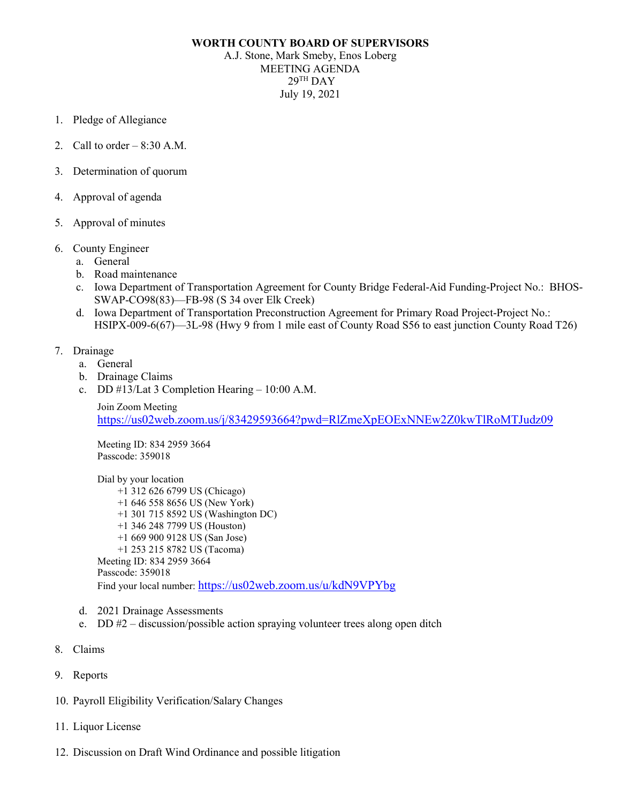## **WORTH COUNTY BOARD OF SUPERVISORS**

A.J. Stone, Mark Smeby, Enos Loberg MEETING AGENDA  $29<sup>TH</sup>$  DAY July 19, 2021

- 1. Pledge of Allegiance
- 2. Call to order  $-8:30$  A.M.
- 3. Determination of quorum
- 4. Approval of agenda
- 5. Approval of minutes
- 6. County Engineer
	- a. General
	- b. Road maintenance
	- c. Iowa Department of Transportation Agreement for County Bridge Federal-Aid Funding-Project No.: BHOS-SWAP-CO98(83)—FB-98 (S 34 over Elk Creek)
	- d. Iowa Department of Transportation Preconstruction Agreement for Primary Road Project-Project No.: HSIPX-009-6(67)—3L-98 (Hwy 9 from 1 mile east of County Road S56 to east junction County Road T26)
- 7. Drainage
	- a. General
	- b. Drainage Claims
	- c. DD #13/Lat 3 Completion Hearing 10:00 A.M.

Join Zoom Meeting <https://us02web.zoom.us/j/83429593664?pwd=RlZmeXpEOExNNEw2Z0kwTlRoMTJudz09>

Meeting ID: 834 2959 3664 Passcode: 359018

Dial by your location +1 312 626 6799 US (Chicago) +1 646 558 8656 US (New York) +1 301 715 8592 US (Washington DC) +1 346 248 7799 US (Houston) +1 669 900 9128 US (San Jose) +1 253 215 8782 US (Tacoma) Meeting ID: 834 2959 3664 Passcode: 359018 Find your local number:<https://us02web.zoom.us/u/kdN9VPYbg>

- d. 2021 Drainage Assessments
- e. DD #2 discussion/possible action spraying volunteer trees along open ditch
- 8. Claims
- 9. Reports
- 10. Payroll Eligibility Verification/Salary Changes
- 11. Liquor License
- 12. Discussion on Draft Wind Ordinance and possible litigation